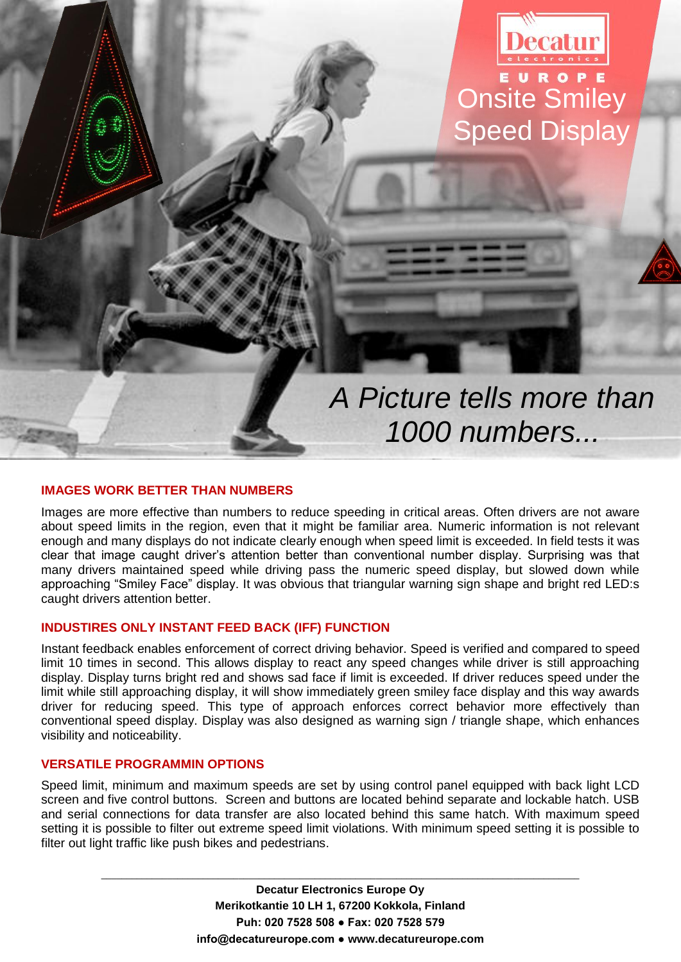

## *A Picture tells more than 1000 numbers...*

## **IMAGES WORK BETTER THAN NUMBERS**

Images are more effective than numbers to reduce speeding in critical areas. Often drivers are not aware about speed limits in the region, even that it might be familiar area. Numeric information is not relevant enough and many displays do not indicate clearly enough when speed limit is exceeded. In field tests it was clear that image caught driver's attention better than conventional number display. Surprising was that many drivers maintained speed while driving pass the numeric speed display, but slowed down while approaching "Smiley Face" display. It was obvious that triangular warning sign shape and bright red LED:s caught drivers attention better.

## **INDUSTIRES ONLY INSTANT FEED BACK (IFF) FUNCTION**

Instant feedback enables enforcement of correct driving behavior. Speed is verified and compared to speed limit 10 times in second. This allows display to react any speed changes while driver is still approaching display. Display turns bright red and shows sad face if limit is exceeded. If driver reduces speed under the limit while still approaching display, it will show immediately green smiley face display and this way awards driver for reducing speed. This type of approach enforces correct behavior more effectively than conventional speed display. Display was also designed as warning sign / triangle shape, which enhances visibility and noticeability.

## **VERSATILE PROGRAMMIN OPTIONS**

Speed limit, minimum and maximum speeds are set by using control panel equipped with back light LCD screen and five control buttons. Screen and buttons are located behind separate and lockable hatch. USB and serial connections for data transfer are also located behind this same hatch. With maximum speed setting it is possible to filter out extreme speed limit violations. With minimum speed setting it is possible to filter out light traffic like push bikes and pedestrians.

> **Decatur Electronics Europe Oy Merikotkantie 10 LH 1, 67200 Kokkola, Finland Puh: 020 7528 508 ● Fax: 020 7528 579 info@decatureurope.com ● www.decatureurope.com**

 $\_$  ,  $\_$  ,  $\_$  ,  $\_$  ,  $\_$  ,  $\_$  ,  $\_$  ,  $\_$  ,  $\_$  ,  $\_$  ,  $\_$  ,  $\_$  ,  $\_$  ,  $\_$  ,  $\_$  ,  $\_$  ,  $\_$  ,  $\_$  ,  $\_$  ,  $\_$  ,  $\_$  ,  $\_$  ,  $\_$  ,  $\_$  ,  $\_$  ,  $\_$  ,  $\_$  ,  $\_$  ,  $\_$  ,  $\_$  ,  $\_$  ,  $\_$  ,  $\_$  ,  $\_$  ,  $\_$  ,  $\_$  ,  $\_$  ,